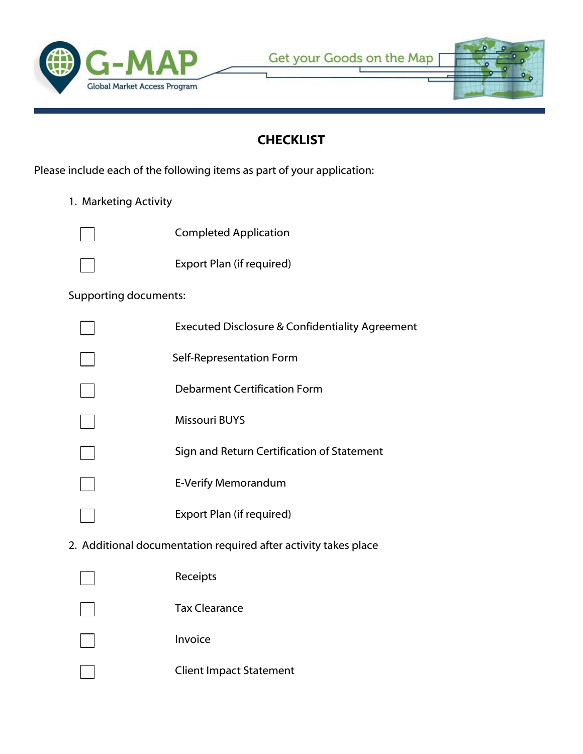



# **CHECKLIST**

Please include each of the following items as part of your application:

1. Marketing Activity



Completed Application

Export Plan (if required)

### Supporting documents:

| Executed Disclosure & Confidentiality Agreement |
|-------------------------------------------------|
| Self-Representation Form                        |
| Debarment Certification Form                    |
| <b>Missouri BUYS</b>                            |
| Sign and Return Certification of Statement      |
| E-Verify Memorandum                             |
| Export Plan (if required)                       |

2. Additional documentation required after activity takes place

| Receipts                       |
|--------------------------------|
| <b>Tax Clearance</b>           |
| Invoice                        |
| <b>Client Impact Statement</b> |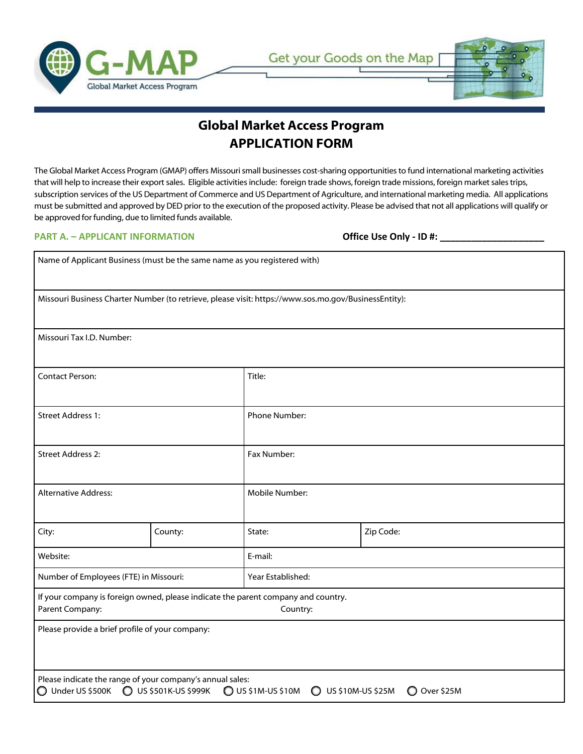



## **Global Market Access Program APPLICATION FORM**

The Global Market Access Program (GMAP) offers Missouri small businesses cost-sharing opportunities to fund international marketing activities that will help to increase their export sales. Eligible activities include: foreign trade shows, foreign trade missions, foreign market sales trips, subscription services of the US Department of Commerce and US Department of Agriculture, and international marketing media. All applications must be submitted and approved by DED prior to the execution of the proposed activity. Please be advised that not all applications will qualify or be approved for funding, due to limited funds available.

#### **PART A. – APPLICANT INFORMATION Office Use Only - ID #: \_\_\_\_\_\_\_\_\_\_\_\_\_\_\_\_\_\_\_\_**

| Name of Applicant Business (must be the same name as you registered with)                                                                                                                     |         |                   |           |  |
|-----------------------------------------------------------------------------------------------------------------------------------------------------------------------------------------------|---------|-------------------|-----------|--|
| Missouri Business Charter Number (to retrieve, please visit: https://www.sos.mo.gov/BusinessEntity):                                                                                          |         |                   |           |  |
| Missouri Tax I.D. Number:                                                                                                                                                                     |         |                   |           |  |
| <b>Contact Person:</b>                                                                                                                                                                        |         | Title:            |           |  |
| <b>Street Address 1:</b>                                                                                                                                                                      |         | Phone Number:     |           |  |
| Street Address 2:                                                                                                                                                                             |         | Fax Number:       |           |  |
| <b>Alternative Address:</b>                                                                                                                                                                   |         | Mobile Number:    |           |  |
| City:                                                                                                                                                                                         | County: | State:            | Zip Code: |  |
| Website:                                                                                                                                                                                      |         | E-mail:           |           |  |
| Number of Employees (FTE) in Missouri:                                                                                                                                                        |         | Year Established: |           |  |
| If your company is foreign owned, please indicate the parent company and country.<br>Parent Company:<br>Country:                                                                              |         |                   |           |  |
| Please provide a brief profile of your company:                                                                                                                                               |         |                   |           |  |
| Please indicate the range of your company's annual sales:<br><b>O US \$501K-US \$999K</b><br>$\bigcirc$ US \$1M-US \$10M<br>O US \$10M-US \$25M<br>$\bigcirc$ Under US \$500K<br>O Over \$25M |         |                   |           |  |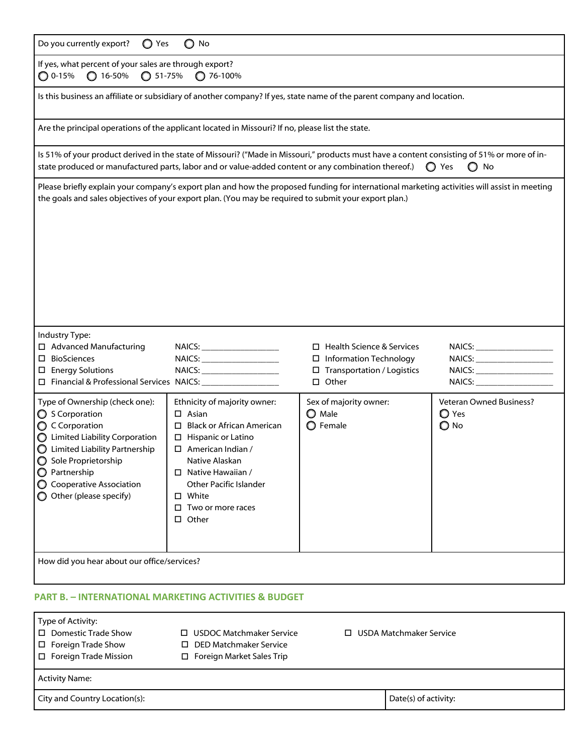| $\bigcirc$ Yes<br>Do you currently export?<br>$\bigcirc$ No                                                                                                                                                                                           |                                                                                                                                                                                                                                                                                  |                                                                                                                                             |                                                 |  |
|-------------------------------------------------------------------------------------------------------------------------------------------------------------------------------------------------------------------------------------------------------|----------------------------------------------------------------------------------------------------------------------------------------------------------------------------------------------------------------------------------------------------------------------------------|---------------------------------------------------------------------------------------------------------------------------------------------|-------------------------------------------------|--|
| If yes, what percent of your sales are through export?<br>$\bigcirc$ 0-15%<br>$O$ 16-50%<br>$O$ 51-75%<br>$O$ 76-100%                                                                                                                                 |                                                                                                                                                                                                                                                                                  |                                                                                                                                             |                                                 |  |
|                                                                                                                                                                                                                                                       | Is this business an affiliate or subsidiary of another company? If yes, state name of the parent company and location.                                                                                                                                                           |                                                                                                                                             |                                                 |  |
|                                                                                                                                                                                                                                                       | Are the principal operations of the applicant located in Missouri? If no, please list the state.                                                                                                                                                                                 |                                                                                                                                             |                                                 |  |
|                                                                                                                                                                                                                                                       | state produced or manufactured parts, labor and or value-added content or any combination thereof.)                                                                                                                                                                              | Is 51% of your product derived in the state of Missouri? ("Made in Missouri," products must have a content consisting of 51% or more of in- | ◯ Yes<br>$\bigcirc$ No                          |  |
| Please briefly explain your company's export plan and how the proposed funding for international marketing activities will assist in meeting<br>the goals and sales objectives of your export plan. (You may be required to submit your export plan.) |                                                                                                                                                                                                                                                                                  |                                                                                                                                             |                                                 |  |
| Industry Type:<br>□ Advanced Manufacturing<br>$\square$ BioSciences<br>$\square$ Energy Solutions<br>□ Financial & Professional Services NAICS: ________________                                                                                      |                                                                                                                                                                                                                                                                                  | $\Box$ Health Science & Services<br>□ Information Technology<br>$\Box$ Transportation / Logistics<br>$\square$ Other                        |                                                 |  |
| Type of Ownership (check one):<br>◯ S Corporation<br>C Corporation<br>◯ Limited Liability Corporation<br>◯ Limited Liability Partnership<br>Sole Proprietorship<br>O Partnership<br>◯ Cooperative Association<br>O Other (please specify)             | Ethnicity of majority owner:<br>$\Box$ Asian<br>$\Box$ Black or African American<br>$\Box$ Hispanic or Latino<br>$\Box$ American Indian /<br>Native Alaskan<br>$\Box$ Native Hawaiian /<br>Other Pacific Islander<br>$\square$ White<br>$\Box$ Two or more races<br>$\Box$ Other | Sex of majority owner:<br>O Male<br><b>O</b> Female                                                                                         | <b>Veteran Owned Business?</b><br>O Yes<br>O No |  |
| How did you hear about our office/services?                                                                                                                                                                                                           |                                                                                                                                                                                                                                                                                  |                                                                                                                                             |                                                 |  |
| PART B. – INTERNATIONAL MARKETING ACTIVITIES & BUDGET                                                                                                                                                                                                 |                                                                                                                                                                                                                                                                                  |                                                                                                                                             |                                                 |  |
| Type of Activity:                                                                                                                                                                                                                                     |                                                                                                                                                                                                                                                                                  |                                                                                                                                             |                                                 |  |

| $\cdot$ , $\sim$ $\sim$ $\cdot$<br>I □ Domestic Trade Show<br>$\Box$ Foreign Trade Show<br>$\Box$ Foreign Trade Mission | $\Box$ USDOC Matchmaker Service<br>□ DED Matchmaker Service<br>$\Box$ Foreign Market Sales Trip | $\Box$ USDA Matchmaker Service |  |
|-------------------------------------------------------------------------------------------------------------------------|-------------------------------------------------------------------------------------------------|--------------------------------|--|
| <b>Activity Name:</b>                                                                                                   |                                                                                                 |                                |  |
| City and Country Location(s):                                                                                           |                                                                                                 | Date(s) of activity:           |  |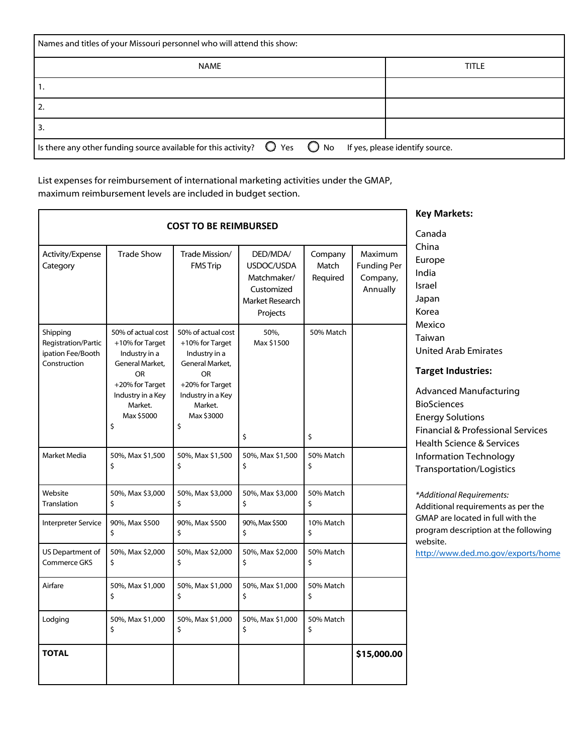| Names and titles of your Missouri personnel who will attend this show:                                                      |              |  |  |
|-----------------------------------------------------------------------------------------------------------------------------|--------------|--|--|
| <b>NAME</b>                                                                                                                 | <b>TITLE</b> |  |  |
| 1.                                                                                                                          |              |  |  |
| $\overline{2}$                                                                                                              |              |  |  |
| l 3.                                                                                                                        |              |  |  |
| Is there any other funding source available for this activity? $\bigcirc$ Yes $\bigcirc$ No If yes, please identify source. |              |  |  |

List expenses for reimbursement of international marketing activities under the GMAP, maximum reimbursement levels are included in budget section.

|                                                                      |                                                                                                                                                               |                                                                                                                                                               |                                                                                    |                              |                                                       | <b>Key Markets:</b>                                                                                                                                                                                                                         |
|----------------------------------------------------------------------|---------------------------------------------------------------------------------------------------------------------------------------------------------------|---------------------------------------------------------------------------------------------------------------------------------------------------------------|------------------------------------------------------------------------------------|------------------------------|-------------------------------------------------------|---------------------------------------------------------------------------------------------------------------------------------------------------------------------------------------------------------------------------------------------|
|                                                                      |                                                                                                                                                               | <b>COST TO BE REIMBURSED</b>                                                                                                                                  |                                                                                    |                              |                                                       | Canada                                                                                                                                                                                                                                      |
| Activity/Expense<br>Category                                         | <b>Trade Show</b>                                                                                                                                             | Trade Mission/<br><b>FMS Trip</b>                                                                                                                             | DED/MDA/<br>USDOC/USDA<br>Matchmaker/<br>Customized<br>Market Research<br>Projects | Company<br>Match<br>Required | Maximum<br><b>Funding Per</b><br>Company,<br>Annually | China<br>Europe<br>India<br>Israel<br>Japan<br>Korea                                                                                                                                                                                        |
| Shipping<br>Registration/Partic<br>ipation Fee/Booth<br>Construction | 50% of actual cost<br>+10% for Target<br>Industry in a<br>General Market,<br><b>OR</b><br>+20% for Target<br>Industry in a Key<br>Market.<br>Max \$5000<br>\$ | 50% of actual cost<br>+10% for Target<br>Industry in a<br>General Market,<br><b>OR</b><br>+20% for Target<br>Industry in a Key<br>Market.<br>Max \$3000<br>\$ | 50%,<br>Max \$1500<br>\$                                                           | 50% Match<br>\$              |                                                       | Mexico<br>Taiwan<br><b>United Arab Emirates</b><br><b>Target Industries:</b><br><b>Advanced Manufacturing</b><br><b>BioSciences</b><br><b>Energy Solutions</b><br><b>Financial &amp; Professional Services</b><br>Health Science & Services |
| Market Media                                                         | 50%, Max \$1,500<br>Ś                                                                                                                                         | 50%, Max \$1,500<br>\$                                                                                                                                        | 50%, Max \$1,500<br>\$                                                             | 50% Match<br>\$              |                                                       | <b>Information Technology</b><br><b>Transportation/Logistics</b>                                                                                                                                                                            |
| Website<br>Translation                                               | 50%, Max \$3,000<br>\$                                                                                                                                        | 50%, Max \$3,000<br>\$                                                                                                                                        | 50%, Max \$3,000<br>\$                                                             | 50% Match<br>\$              |                                                       | *Additional Requirements:<br>Additional requirements as per the                                                                                                                                                                             |
| Interpreter Service                                                  | 90%, Max \$500<br>\$.                                                                                                                                         | 90%, Max \$500<br>\$                                                                                                                                          | 90%, Max \$500<br>\$                                                               | 10% Match<br>\$              |                                                       | GMAP are located in full with the<br>program description at the following<br>website.                                                                                                                                                       |
| US Department of<br>Commerce GKS                                     | 50%, Max \$2,000<br>\$                                                                                                                                        | 50%, Max \$2,000<br>\$                                                                                                                                        | 50%, Max \$2,000<br>\$                                                             | 50% Match<br>\$              |                                                       | http://www.ded.mo.gov/exports/home                                                                                                                                                                                                          |
| Airfare                                                              | 50%, Max \$1,000<br>\$                                                                                                                                        | 50%, Max \$1,000<br>\$                                                                                                                                        | 50%, Max \$1,000<br>\$                                                             | 50% Match<br>\$              |                                                       |                                                                                                                                                                                                                                             |
| Lodging                                                              | 50%, Max \$1,000<br>\$                                                                                                                                        | 50%, Max \$1,000<br>\$                                                                                                                                        | 50%, Max \$1,000<br>\$                                                             | 50% Match<br>\$              |                                                       |                                                                                                                                                                                                                                             |
| <b>TOTAL</b>                                                         |                                                                                                                                                               |                                                                                                                                                               |                                                                                    |                              | \$15,000.00                                           |                                                                                                                                                                                                                                             |
|                                                                      |                                                                                                                                                               |                                                                                                                                                               |                                                                                    |                              |                                                       |                                                                                                                                                                                                                                             |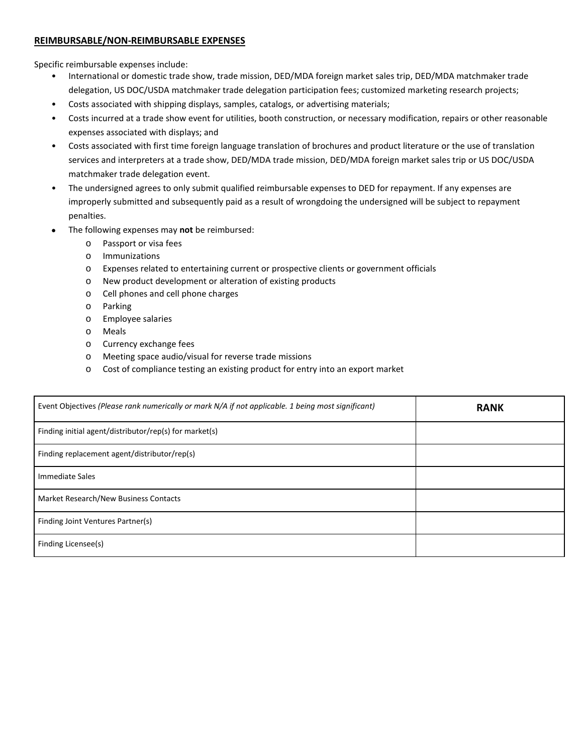#### **REIMBURSABLE/NON-REIMBURSABLE EXPENSES**

Specific reimbursable expenses include:

- International or domestic trade show, trade mission, DED/MDA foreign market sales trip, DED/MDA matchmaker trade delegation, US DOC/USDA matchmaker trade delegation participation fees; customized marketing research projects;
- Costs associated with shipping displays, samples, catalogs, or advertising materials;
- Costs incurred at a trade show event for utilities, booth construction, or necessary modification, repairs or other reasonable expenses associated with displays; and
- Costs associated with first time foreign language translation of brochures and product literature or the use of translation services and interpreters at a trade show, DED/MDA trade mission, DED/MDA foreign market sales trip or US DOC/USDA matchmaker trade delegation event.
- The undersigned agrees to only submit qualified reimbursable expenses to DED for repayment. If any expenses are improperly submitted and subsequently paid as a result of wrongdoing the undersigned will be subject to repayment penalties.
- The following expenses may **not** be reimbursed:
	- o Passport or visa fees
	- o Immunizations
	- o Expenses related to entertaining current or prospective clients or government officials
	- o New product development or alteration of existing products
	- o Cell phones and cell phone charges
	- o Parking
	- o Employee salaries
	- o Meals
	- o Currency exchange fees
	- o Meeting space audio/visual for reverse trade missions
	- o Cost of compliance testing an existing product for entry into an export market

| Event Objectives (Please rank numerically or mark N/A if not applicable. 1 being most significant) | <b>RANK</b> |
|----------------------------------------------------------------------------------------------------|-------------|
| Finding initial agent/distributor/rep(s) for market(s)                                             |             |
| Finding replacement agent/distributor/rep(s)                                                       |             |
| Immediate Sales                                                                                    |             |
| Market Research/New Business Contacts                                                              |             |
| Finding Joint Ventures Partner(s)                                                                  |             |
| Finding Licensee(s)                                                                                |             |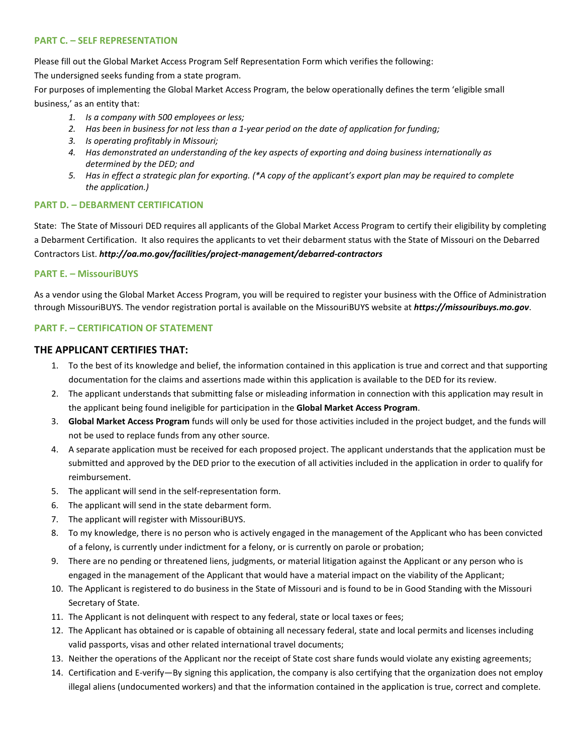#### **PART C. – SELF REPRESENTATION**

Please fill out the Global Market Access Program Self Representation Form which verifies the following:

The undersigned seeks funding from a state program.

For purposes of implementing the Global Market Access Program, the below operationally defines the term 'eligible small business,' as an entity that:

- *1. Is a company with 500 employees or less;*
- *2. Has been in business for not less than a 1-year period on the date of application for funding;*
- *3. Is operating profitably in Missouri;*
- *4. Has demonstrated an understanding of the key aspects of exporting and doing business internationally as determined by the DED; and*
- *5. Has in effect a strategic plan for exporting. (\*A copy of the applicant's export plan may be required to complete the application.)*

#### **PART D. – DEBARMENT CERTIFICATION**

State: The State of Missouri DED requires all applicants of the Global Market Access Program to certify their eligibility by completing a Debarment Certification. It also requires the applicants to vet their debarment status with the State of Missouri on the Debarred Contractors List. *http://oa.mo.gov/facilities/project-management/debarred-contractors*

#### **PART E. – MissouriBUYS**

As a vendor using the Global Market Access Program, you will be required to register your business with the Office of Administration through MissouriBUYS. The vendor registration portal is available on the MissouriBUYS website at *https://missouribuys.mo.gov*.

#### **PART F. – CERTIFICATION OF STATEMENT**

#### **THE APPLICANT CERTIFIES THAT:**

- 1. To the best of its knowledge and belief, the information contained in this application is true and correct and that supporting documentation for the claims and assertions made within this application is available to the DED for its review.
- 2. The applicant understands that submitting false or misleading information in connection with this application may result in the applicant being found ineligible for participation in the **Global Market Access Program**.
- 3. **Global Market Access Program** funds will only be used for those activities included in the project budget, and the funds will not be used to replace funds from any other source.
- 4. A separate application must be received for each proposed project. The applicant understands that the application must be submitted and approved by the DED prior to the execution of all activities included in the application in order to qualify for reimbursement.
- 5. The applicant will send in the self-representation form.
- 6. The applicant will send in the state debarment form.
- 7. The applicant will register with MissouriBUYS.
- 8. To my knowledge, there is no person who is actively engaged in the management of the Applicant who has been convicted of a felony, is currently under indictment for a felony, or is currently on parole or probation;
- 9. There are no pending or threatened liens, judgments, or material litigation against the Applicant or any person who is engaged in the management of the Applicant that would have a material impact on the viability of the Applicant;
- 10. The Applicant is registered to do business in the State of Missouri and is found to be in Good Standing with the Missouri Secretary of State.
- 11. The Applicant is not delinquent with respect to any federal, state or local taxes or fees;
- 12. The Applicant has obtained or is capable of obtaining all necessary federal, state and local permits and licenses including valid passports, visas and other related international travel documents;
- 13. Neither the operations of the Applicant nor the receipt of State cost share funds would violate any existing agreements;
- 14. Certification and E-verify—By signing this application, the company is also certifying that the organization does not employ illegal aliens (undocumented workers) and that the information contained in the application is true, correct and complete.